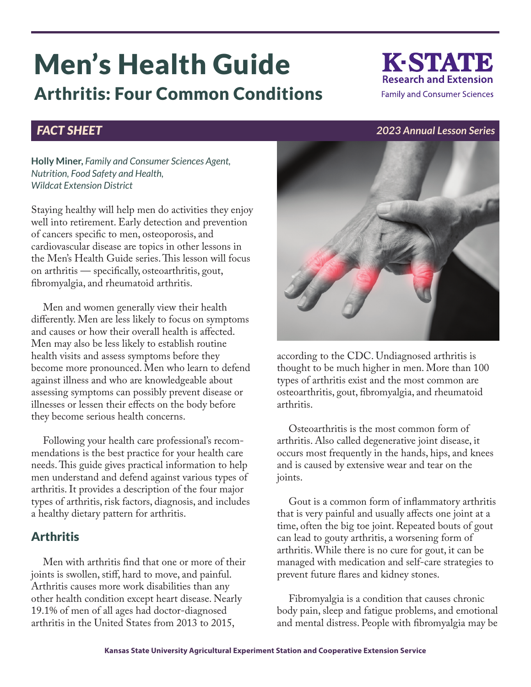# Men's Health Guide Arthritis: Four Common Conditions

# K-STATE **Research and Extension Family and Consumer Sciences**

#### *FACT SHEET 2023 Annual Lesson Series*

**Holly Miner,** *Family and Consumer Sciences Agent, Nutrition, Food Safety and Health, Wildcat Extension District*

Staying healthy will help men do activities they enjoy well into retirement. Early detection and prevention of cancers specific to men, osteoporosis, and cardiovascular disease are topics in other lessons in the Men's Health Guide series. This lesson will focus on arthritis — specifically, osteoarthritis, gout, fibromyalgia, and rheumatoid arthritis.

Men and women generally view their health differently. Men are less likely to focus on symptoms and causes or how their overall health is affected. Men may also be less likely to establish routine health visits and assess symptoms before they become more pronounced. Men who learn to defend against illness and who are knowledgeable about assessing symptoms can possibly prevent disease or illnesses or lessen their effects on the body before they become serious health concerns.

Following your health care professional's recommendations is the best practice for your health care needs. This guide gives practical information to help men understand and defend against various types of arthritis. It provides a description of the four major types of arthritis, risk factors, diagnosis, and includes a healthy dietary pattern for arthritis.

## **Arthritis**

Men with arthritis find that one or more of their joints is swollen, stiff, hard to move, and painful. Arthritis causes more work disabilities than any other health condition except heart disease. Nearly 19.1% of men of all ages had doctor-diagnosed arthritis in the United States from 2013 to 2015,



according to the CDC. Undiagnosed arthritis is thought to be much higher in men. More than 100 types of arthritis exist and the most common are osteoarthritis, gout, fibromyalgia, and rheumatoid arthritis.

Osteoarthritis is the most common form of arthritis. Also called degenerative joint disease, it occurs most frequently in the hands, hips, and knees and is caused by extensive wear and tear on the joints.

Gout is a common form of inflammatory arthritis that is very painful and usually affects one joint at a time, often the big toe joint. Repeated bouts of gout can lead to gouty arthritis, a worsening form of arthritis. While there is no cure for gout, it can be managed with medication and self-care strategies to prevent future flares and kidney stones.

Fibromyalgia is a condition that causes chronic body pain, sleep and fatigue problems, and emotional and mental distress. People with fibromyalgia may be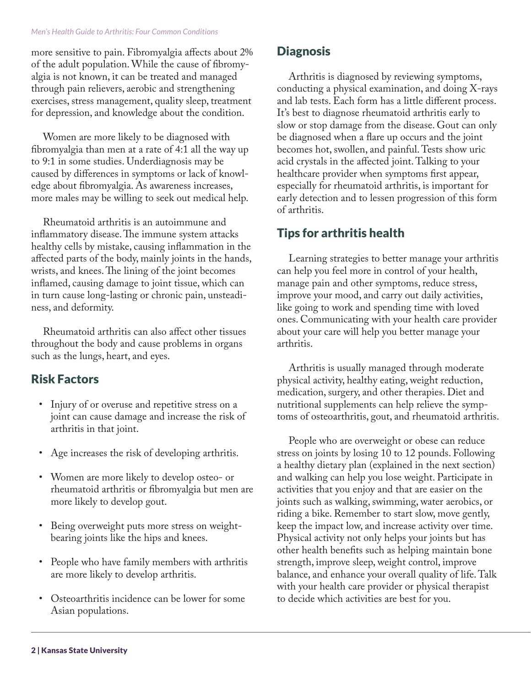#### *Men's Health Guide to Arthritis: Four Common Conditions*

more sensitive to pain. Fibromyalgia affects about 2% of the adult population. While the cause of fibromyalgia is not known, it can be treated and managed through pain relievers, aerobic and strengthening exercises, stress management, quality sleep, treatment for depression, and knowledge about the condition.

Women are more likely to be diagnosed with fibromyalgia than men at a rate of 4:1 all the way up to 9:1 in some studies. Underdiagnosis may be caused by differences in symptoms or lack of knowledge about fibromyalgia. As awareness increases, more males may be willing to seek out medical help.

Rheumatoid arthritis is an autoimmune and inflammatory disease. The immune system attacks healthy cells by mistake, causing inflammation in the affected parts of the body, mainly joints in the hands, wrists, and knees. The lining of the joint becomes inflamed, causing damage to joint tissue, which can in turn cause long-lasting or chronic pain, unsteadiness, and deformity.

Rheumatoid arthritis can also affect other tissues throughout the body and cause problems in organs such as the lungs, heart, and eyes.

#### Risk Factors

- Injury of or overuse and repetitive stress on a joint can cause damage and increase the risk of arthritis in that joint.
- Age increases the risk of developing arthritis.
- Women are more likely to develop osteo- or rheumatoid arthritis or fibromyalgia but men are more likely to develop gout.
- Being overweight puts more stress on weightbearing joints like the hips and knees.
- People who have family members with arthritis are more likely to develop arthritis.
- Osteoarthritis incidence can be lower for some Asian populations.

#### **Diagnosis**

Arthritis is diagnosed by reviewing symptoms, conducting a physical examination, and doing X-rays and lab tests. Each form has a little different process. It's best to diagnose rheumatoid arthritis early to slow or stop damage from the disease. Gout can only be diagnosed when a flare up occurs and the joint becomes hot, swollen, and painful. Tests show uric acid crystals in the affected joint. Talking to your healthcare provider when symptoms first appear, especially for rheumatoid arthritis, is important for early detection and to lessen progression of this form of arthritis.

### Tips for arthritis health

Learning strategies to better manage your arthritis can help you feel more in control of your health, manage pain and other symptoms, reduce stress, improve your mood, and carry out daily activities, like going to work and spending time with loved ones. Communicating with your health care provider about your care will help you better manage your arthritis.

Arthritis is usually managed through moderate physical activity, healthy eating, weight reduction, medication, surgery, and other therapies. Diet and nutritional supplements can help relieve the symptoms of osteoarthritis, gout, and rheumatoid arthritis.

People who are overweight or obese can reduce stress on joints by losing 10 to 12 pounds. Following a healthy dietary plan (explained in the next section) and walking can help you lose weight. Participate in activities that you enjoy and that are easier on the joints such as walking, swimming, water aerobics, or riding a bike. Remember to start slow, move gently, keep the impact low, and increase activity over time. Physical activity not only helps your joints but has other health benefits such as helping maintain bone strength, improve sleep, weight control, improve balance, and enhance your overall quality of life. Talk with your health care provider or physical therapist to decide which activities are best for you.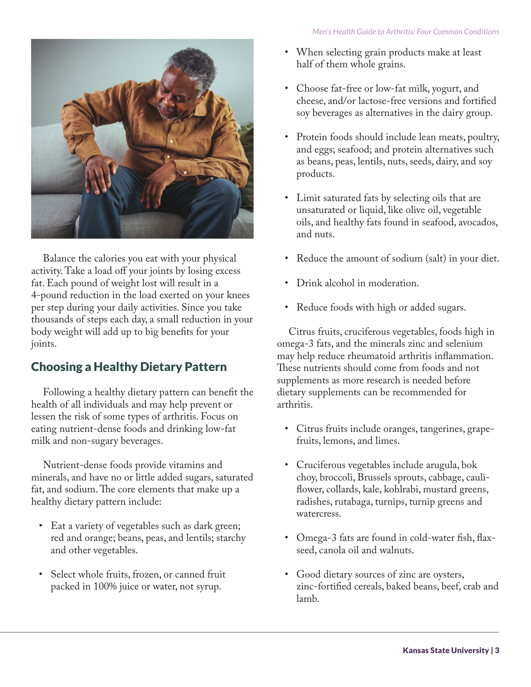

Balance the calories you eat with your physical activity. Take a load off your joints by losing excess fat. Each pound of weight lost will result in a 4-pound reduction in the load exerted on your knees per step during your daily activities. Since you take thousands of steps each day, a small reduction in your body weight will add up to big benefits for your joints.

# Choosing a Healthy Dietary Pattern

Following a healthy dietary pattern can benefit the health of all individuals and may help prevent or lessen the risk of some types of arthritis. Focus on eating nutrient-dense foods and drinking low-fat milk and non-sugary beverages.

Nutrient-dense foods provide vitamins and minerals, and have no or little added sugars, saturated fat, and sodium. The core elements that make up a healthy dietary pattern include:

- Eat a variety of vegetables such as dark green; red and orange; beans, peas, and lentils; starchy and other vegetables.
- Select whole fruits, frozen, or canned fruit packed in 100% juice or water, not syrup.
- When selecting grain products make at least half of them whole grains.
- Choose fat-free or low-fat milk, yogurt, and cheese, and/or lactose-free versions and fortified soy beverages as alternatives in the dairy group.
- Protein foods should include lean meats, poultry, and eggs; seafood; and protein alternatives such as beans, peas, lentils, nuts, seeds, dairy, and soy products.
- Limit saturated fats by selecting oils that are unsaturated or liquid, like olive oil, vegetable oils, and healthy fats found in seafood, avocados, and nuts.
- Reduce the amount of sodium (salt) in your diet.
- Drink alcohol in moderation.
- Reduce foods with high or added sugars.

Citrus fruits, cruciferous vegetables, foods high in omega-3 fats, and the minerals zinc and selenium may help reduce rheumatoid arthritis inflammation. These nutrients should come from foods and not supplements as more research is needed before dietary supplements can be recommended for arthritis.

- Citrus fruits include oranges, tangerines, grapefruits, lemons, and limes.
- Cruciferous vegetables include arugula, bok choy, broccoli, Brussels sprouts, cabbage, cauliflower, collards, kale, kohlrabi, mustard greens, radishes, rutabaga, turnips, turnip greens and watercress.
- Omega-3 fats are found in cold-water fish, flaxseed, canola oil and walnuts.
- Good dietary sources of zinc are oysters, zinc-fortified cereals, baked beans, beef, crab and lamb.